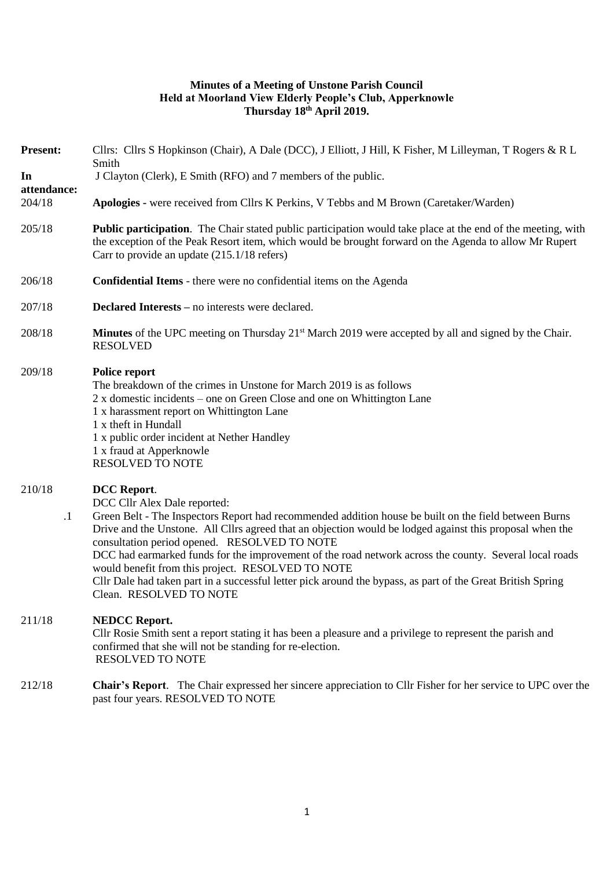## **Minutes of a Meeting of Unstone Parish Council Held at Moorland View Elderly People's Club, Apperknowle Thursday 18th April 2019.**

| <b>Present:</b>             | Cllrs: Cllrs S Hopkinson (Chair), A Dale (DCC), J Elliott, J Hill, K Fisher, M Lilleyman, T Rogers & R L<br>Smith                                                                                                                                                                                                                                                                                                                                                                                                                                                                                                                |
|-----------------------------|----------------------------------------------------------------------------------------------------------------------------------------------------------------------------------------------------------------------------------------------------------------------------------------------------------------------------------------------------------------------------------------------------------------------------------------------------------------------------------------------------------------------------------------------------------------------------------------------------------------------------------|
| In<br>attendance:<br>204/18 | J Clayton (Clerk), E Smith (RFO) and 7 members of the public.                                                                                                                                                                                                                                                                                                                                                                                                                                                                                                                                                                    |
|                             | Apologies - were received from Cllrs K Perkins, V Tebbs and M Brown (Caretaker/Warden)                                                                                                                                                                                                                                                                                                                                                                                                                                                                                                                                           |
| 205/18                      | <b>Public participation.</b> The Chair stated public participation would take place at the end of the meeting, with<br>the exception of the Peak Resort item, which would be brought forward on the Agenda to allow Mr Rupert<br>Carr to provide an update (215.1/18 refers)                                                                                                                                                                                                                                                                                                                                                     |
| 206/18                      | <b>Confidential Items</b> - there were no confidential items on the Agenda                                                                                                                                                                                                                                                                                                                                                                                                                                                                                                                                                       |
| 207/18                      | <b>Declared Interests</b> – no interests were declared.                                                                                                                                                                                                                                                                                                                                                                                                                                                                                                                                                                          |
| 208/18                      | <b>Minutes</b> of the UPC meeting on Thursday 21 <sup>st</sup> March 2019 were accepted by all and signed by the Chair.<br><b>RESOLVED</b>                                                                                                                                                                                                                                                                                                                                                                                                                                                                                       |
| 209/18                      | Police report<br>The breakdown of the crimes in Unstone for March 2019 is as follows<br>2 x domestic incidents – one on Green Close and one on Whittington Lane<br>1 x harassment report on Whittington Lane<br>1 x theft in Hundall<br>1 x public order incident at Nether Handley<br>1 x fraud at Apperknowle<br><b>RESOLVED TO NOTE</b>                                                                                                                                                                                                                                                                                       |
| 210/18<br>$\cdot$           | <b>DCC</b> Report.<br>DCC Cllr Alex Dale reported:<br>Green Belt - The Inspectors Report had recommended addition house be built on the field between Burns<br>Drive and the Unstone. All Cllrs agreed that an objection would be lodged against this proposal when the<br>consultation period opened. RESOLVED TO NOTE<br>DCC had earmarked funds for the improvement of the road network across the county. Several local roads<br>would benefit from this project. RESOLVED TO NOTE<br>Cllr Dale had taken part in a successful letter pick around the bypass, as part of the Great British Spring<br>Clean. RESOLVED TO NOTE |
| 211/18                      | <b>NEDCC Report.</b><br>Cllr Rosie Smith sent a report stating it has been a pleasure and a privilege to represent the parish and<br>confirmed that she will not be standing for re-election.<br><b>RESOLVED TO NOTE</b>                                                                                                                                                                                                                                                                                                                                                                                                         |
| 212/18                      | <b>Chair's Report.</b> The Chair expressed her sincere appreciation to Cllr Fisher for her service to UPC over the<br>past four years. RESOLVED TO NOTE                                                                                                                                                                                                                                                                                                                                                                                                                                                                          |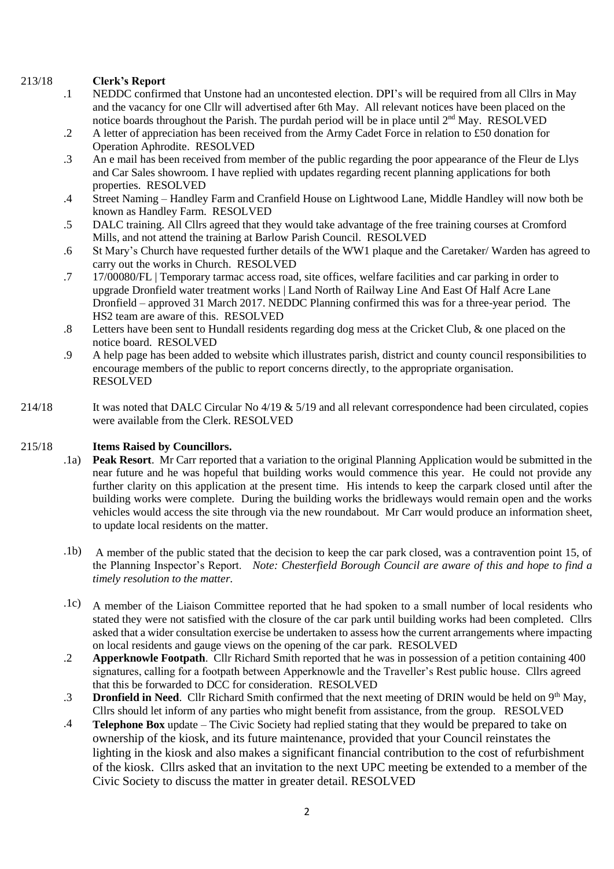#### 213/18 **Clerk's Report**

- .1 NEDDC confirmed that Unstone had an uncontested election. DPI's will be required from all Cllrs in May and the vacancy for one Cllr will advertised after 6th May. All relevant notices have been placed on the notice boards throughout the Parish. The purdah period will be in place until  $2<sup>nd</sup>$  May. RESOLVED
- .2 A letter of appreciation has been received from the Army Cadet Force in relation to £50 donation for Operation Aphrodite. RESOLVED
- .3 An e mail has been received from member of the public regarding the poor appearance of the Fleur de Llys and Car Sales showroom. I have replied with updates regarding recent planning applications for both properties. RESOLVED
- .4 Street Naming – Handley Farm and Cranfield House on Lightwood Lane, Middle Handley will now both be known as Handley Farm. RESOLVED
- .5 DALC training. All Cllrs agreed that they would take advantage of the free training courses at Cromford Mills, and not attend the training at Barlow Parish Council. RESOLVED
- .6 St Mary's Church have requested further details of the WW1 plaque and the Caretaker/ Warden has agreed to carry out the works in Church. RESOLVED
- .7 17/00080/FL | Temporary tarmac access road, site offices, welfare facilities and car parking in order to upgrade Dronfield water treatment works | Land North of Railway Line And East Of Half Acre Lane Dronfield – approved 31 March 2017. NEDDC Planning confirmed this was for a three-year period. The HS2 team are aware of this. RESOLVED
- .8 Letters have been sent to Hundall residents regarding dog mess at the Cricket Club, & one placed on the notice board. RESOLVED
- .9 A help page has been added to website which illustrates parish, district and county council responsibilities to encourage members of the public to report concerns directly, to the appropriate organisation. RESOLVED
- 214/18 It was noted that DALC Circular No 4/19 & 5/19 and all relevant correspondence had been circulated, copies were available from the Clerk. RESOLVED

## 215/18 **Items Raised by Councillors.**

- .1a) **Peak Resort.** Mr Carr reported that a variation to the original Planning Application would be submitted in the near future and he was hopeful that building works would commence this year. He could not provide any further clarity on this application at the present time. His intends to keep the carpark closed until after the building works were complete. During the building works the bridleways would remain open and the works vehicles would access the site through via the new roundabout. Mr Carr would produce an information sheet, to update local residents on the matter.
- .1b) A member of the public stated that the decision to keep the car park closed, was a contravention point 15, of the Planning Inspector's Report. *Note: Chesterfield Borough Council are aware of this and hope to find a timely resolution to the matter.*
- .1c) A member of the Liaison Committee reported that he had spoken to a small number of local residents who stated they were not satisfied with the closure of the car park until building works had been completed. Cllrs asked that a wider consultation exercise be undertaken to assess how the current arrangements where impacting on local residents and gauge views on the opening of the car park. RESOLVED
- .2 **Apperknowle Footpath**. Cllr Richard Smith reported that he was in possession of a petition containing 400 signatures, calling for a footpath between Apperknowle and the Traveller's Rest public house. Cllrs agreed that this be forwarded to DCC for consideration. RESOLVED
- .3 **Dronfield in Need**. Cllr Richard Smith confirmed that the next meeting of DRIN would be held on 9th May, Cllrs should let inform of any parties who might benefit from assistance, from the group. RESOLVED
- .4 **Telephone Box** update The Civic Society had replied stating that they would be prepared to take on ownership of the kiosk, and its future maintenance, provided that your Council reinstates the lighting in the kiosk and also makes a significant financial contribution to the cost of refurbishment of the kiosk. Cllrs asked that an invitation to the next UPC meeting be extended to a member of the Civic Society to discuss the matter in greater detail. RESOLVED